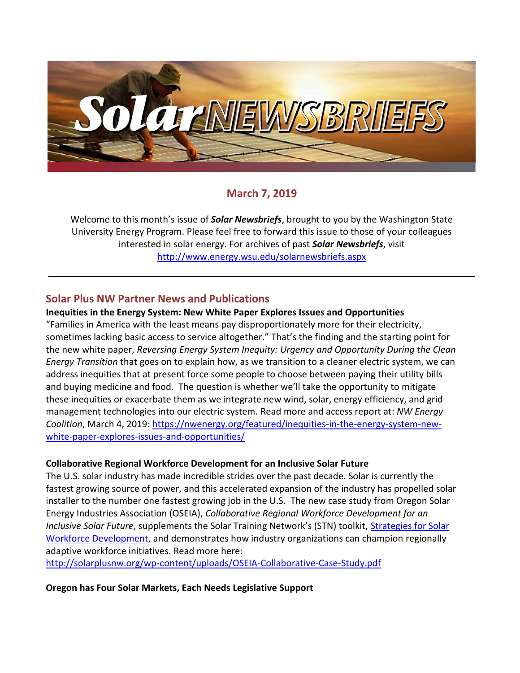

# **March 7, 2019**

Welcome to this month's issue of *Solar Newsbriefs*, brought to you by the Washington State University Energy Program. Please feel free to forward this issue to those of your colleagues interested in solar energy. For archives of past *Solar Newsbriefs*, visit <http://www.energy.wsu.edu/solarnewsbriefs.aspx>

## **Solar Plus NW Partner News and Publications**

#### **Inequities in the Energy System: New White Paper Explores Issues and Opportunities**

"Families in America with the least means pay disproportionately more for their electricity, sometimes lacking basic access to service altogether." That's the finding and the starting point for the new white paper, *Reversing Energy System Inequity: Urgency and Opportunity During the Clean Energy Transition* that goes on to explain how, as we transition to a cleaner electric system, we can address inequities that at present force some people to choose between paying their utility bills and buying medicine and food. The question is whether we'll take the opportunity to mitigate these inequities or exacerbate them as we integrate new wind, solar, energy efficiency, and grid management technologies into our electric system. Read more and access report at: *NW Energy Coalition*, March 4, 2019: [https://nwenergy.org/featured/inequities-in-the-energy-system-new](https://nwenergy.org/featured/inequities-in-the-energy-system-new-white-paper-explores-issues-and-opportunities/)[white-paper-explores-issues-and-opportunities/](https://nwenergy.org/featured/inequities-in-the-energy-system-new-white-paper-explores-issues-and-opportunities/)

#### **Collaborative Regional Workforce Development for an Inclusive Solar Future**

The U.S. solar industry has made incredible strides over the past decade. Solar is currently the fastest growing source of power, and this accelerated expansion of the industry has propelled solar installer to the number one fastest growing job in the U.S. The new case study from Oregon Solar Energy Industries Association (OSEIA), *Collaborative Regional Workforce Development for an Inclusive Solar Future*, supplements the Solar Training Network's (STN) toolkit, [Strategies for Solar](https://www.americansolarworkforce.org/strategies-for-solar-workforce-development/)  [Workforce Development,](https://www.americansolarworkforce.org/strategies-for-solar-workforce-development/) and demonstrates how industry organizations can champion regionally adaptive workforce initiatives. Read more here:

<http://solarplusnw.org/wp-content/uploads/OSEIA-Collaborative-Case-Study.pdf>

#### **Oregon has Four Solar Markets, Each Needs Legislative Support**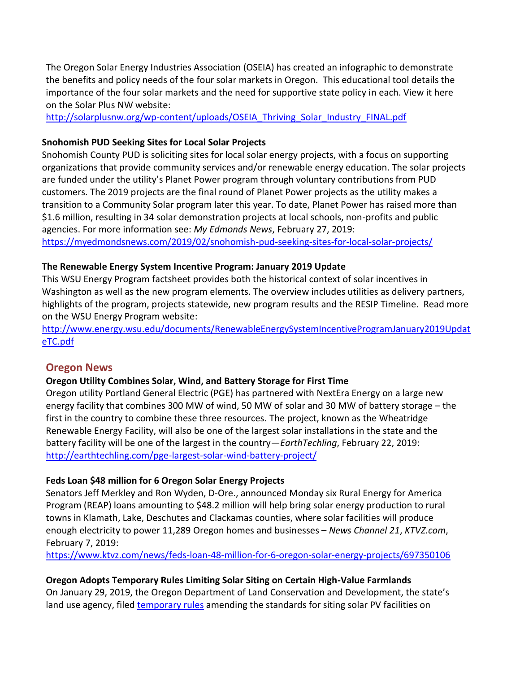The Oregon Solar Energy Industries Association (OSEIA) has created an infographic to demonstrate the benefits and policy needs of the four solar markets in Oregon. This educational tool details the importance of the four solar markets and the need for supportive state policy in each. View it here on the Solar Plus NW website:

[http://solarplusnw.org/wp-content/uploads/OSEIA\\_Thriving\\_Solar\\_Industry\\_FINAL.pdf](http://solarplusnw.org/wp-content/uploads/OSEIA_Thriving_Solar_Industry_FINAL.pdf)

## **Snohomish PUD Seeking Sites for Local Solar Projects**

Snohomish County PUD is soliciting sites for local solar energy projects, with a focus on supporting organizations that provide community services and/or renewable energy education. The solar projects are funded under the utility's Planet Power program through voluntary contributions from PUD customers. The 2019 projects are the final round of Planet Power projects as the utility makes a transition to a Community Solar program later this year. To date, Planet Power has raised more than \$1.6 million, resulting in 34 solar demonstration projects at local schools, non-profits and public agencies. For more information see: *My Edmonds News*, February 27, 2019: <https://myedmondsnews.com/2019/02/snohomish-pud-seeking-sites-for-local-solar-projects/>

#### **The Renewable Energy System Incentive Program: January 2019 Update**

This WSU Energy Program factsheet provides both the historical context of solar incentives in Washington as well as the new program elements. The overview includes utilities as delivery partners, highlights of the program, projects statewide, new program results and the RESIP Timeline. Read more on the WSU Energy Program website:

[http://www.energy.wsu.edu/documents/RenewableEnergySystemIncentiveProgramJanuary2019Updat](http://www.energy.wsu.edu/documents/RenewableEnergySystemIncentiveProgramJanuary2019UpdateTC.pdf) [eTC.pdf](http://www.energy.wsu.edu/documents/RenewableEnergySystemIncentiveProgramJanuary2019UpdateTC.pdf)

# **Oregon News**

#### **Oregon Utility Combines Solar, Wind, and Battery Storage for First Time**

Oregon utility Portland General Electric (PGE) has partnered with NextEra Energy on a large new energy facility that combines 300 MW of wind, 50 MW of solar and 30 MW of battery storage – the first in the country to combine these three resources. The project, known as the Wheatridge Renewable Energy Facility, will also be one of the largest solar installations in the state and the battery facility will be one of the largest in the country—*EarthTechling*, February 22, 2019: <http://earthtechling.com/pge-largest-solar-wind-battery-project/>

#### **Feds Loan \$48 million for 6 Oregon Solar Energy Projects**

Senators Jeff Merkley and Ron Wyden, D-Ore., announced Monday six Rural Energy for America Program (REAP) loans amounting to \$48.2 million will help bring solar energy production to rural towns in Klamath, Lake, Deschutes and Clackamas counties, where solar facilities will produce enough electricity to power 11,289 Oregon homes and businesses – *News Channel 21*, *KTVZ.com*, February 7, 2019:

<https://www.ktvz.com/news/feds-loan-48-million-for-6-oregon-solar-energy-projects/697350106>

#### **Oregon Adopts Temporary Rules Limiting Solar Siting on Certain High-Value Farmlands**

On January 29, 2019, the Oregon Department of Land Conservation and Development, the state's land use agency, filed [temporary rules](https://www.oregon.gov/lcd/LAR/Documents/660-033-0130_TempRule_Mark-up.pdf) amending the standards for siting solar PV facilities on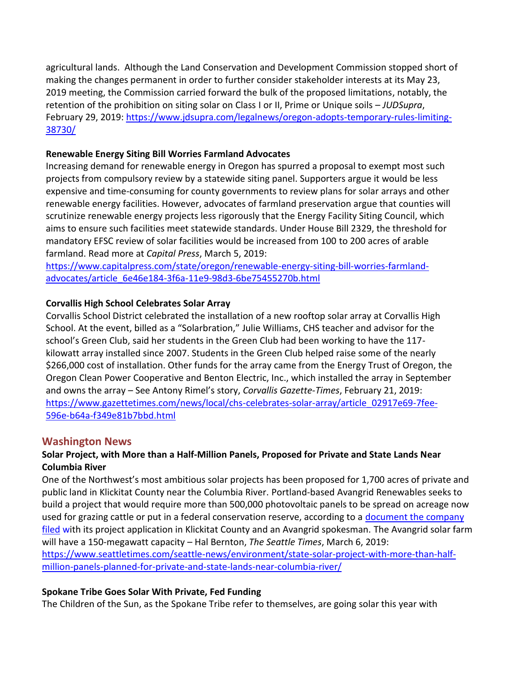agricultural lands. Although the Land Conservation and Development Commission stopped short of making the changes permanent in order to further consider stakeholder interests at its May 23, 2019 meeting, the Commission carried forward the bulk of the proposed limitations, notably, the retention of the prohibition on siting solar on Class I or II, Prime or Unique soils – *JUDSupra*, February 29, 2019: [https://www.jdsupra.com/legalnews/oregon-adopts-temporary-rules-limiting-](https://www.jdsupra.com/legalnews/oregon-adopts-temporary-rules-limiting-38730/)[38730/](https://www.jdsupra.com/legalnews/oregon-adopts-temporary-rules-limiting-38730/)

#### **Renewable Energy Siting Bill Worries Farmland Advocates**

Increasing demand for renewable energy in Oregon has spurred a proposal to exempt most such projects from compulsory review by a statewide siting panel. Supporters argue it would be less expensive and time-consuming for county governments to review plans for solar arrays and other renewable energy facilities. However, advocates of farmland preservation argue that counties will scrutinize renewable energy projects less rigorously that the Energy Facility Siting Council, which aims to ensure such facilities meet statewide standards. Under House Bill 2329, the threshold for mandatory EFSC review of solar facilities would be increased from 100 to 200 acres of arable farmland. Read more at *Capital Press*, March 5, 2019:

[https://www.capitalpress.com/state/oregon/renewable-energy-siting-bill-worries-farmland](https://www.capitalpress.com/state/oregon/renewable-energy-siting-bill-worries-farmland-advocates/article_6e46e184-3f6a-11e9-98d3-6be75455270b.html)[advocates/article\\_6e46e184-3f6a-11e9-98d3-6be75455270b.html](https://www.capitalpress.com/state/oregon/renewable-energy-siting-bill-worries-farmland-advocates/article_6e46e184-3f6a-11e9-98d3-6be75455270b.html)

## **Corvallis High School Celebrates Solar Array**

Corvallis School District celebrated the installation of a new rooftop solar array at Corvallis High School. At the event, billed as a "Solarbration," Julie Williams, CHS teacher and advisor for the school's Green Club, said her students in the Green Club had been working to have the 117 kilowatt array installed since 2007. Students in the Green Club helped raise some of the nearly \$266,000 cost of installation. Other funds for the array came from the Energy Trust of Oregon, the Oregon Clean Power Cooperative and Benton Electric, Inc., which installed the array in September and owns the array – See Antony Rimel's story, *Corvallis Gazette-Times*, February 21, 2019: [https://www.gazettetimes.com/news/local/chs-celebrates-solar-array/article\\_02917e69-7fee-](https://www.gazettetimes.com/news/local/chs-celebrates-solar-array/article_02917e69-7fee-596e-b64a-f349e81b7bbd.html)[596e-b64a-f349e81b7bbd.html](https://www.gazettetimes.com/news/local/chs-celebrates-solar-array/article_02917e69-7fee-596e-b64a-f349e81b7bbd.html)

# **Washington News**

# **Solar Project, with More than a Half-Million Panels, Proposed for Private and State Lands Near Columbia River**

One of the Northwest's most ambitious solar projects has been proposed for 1,700 acres of private and public land in Klickitat County near the Columbia River. Portland-based Avangrid Renewables seeks to build a project that would require more than 500,000 photovoltaic panels to be spread on acreage now used for grazing cattle or put in a federal conservation reserve, according to a [document the company](https://www.klickitatcounty.org/DocumentCenter/View/5509/Lund-Hill-Solar-Project-EOZ-application?bidId)  [filed](https://www.klickitatcounty.org/DocumentCenter/View/5509/Lund-Hill-Solar-Project-EOZ-application?bidId) with its project application in Klickitat County and an Avangrid spokesman. The Avangrid solar farm will have a 150-megawatt capacity – Hal Bernton, *The Seattle Times*, March 6, 2019: [https://www.seattletimes.com/seattle-news/environment/state-solar-project-with-more-than-half](https://www.seattletimes.com/seattle-news/environment/state-solar-project-with-more-than-half-million-panels-planned-for-private-and-state-lands-near-columbia-river/)[million-panels-planned-for-private-and-state-lands-near-columbia-river/](https://www.seattletimes.com/seattle-news/environment/state-solar-project-with-more-than-half-million-panels-planned-for-private-and-state-lands-near-columbia-river/)

# **Spokane Tribe Goes Solar With Private, Fed Funding**

The Children of the Sun, as the Spokane Tribe refer to themselves, are going solar this year with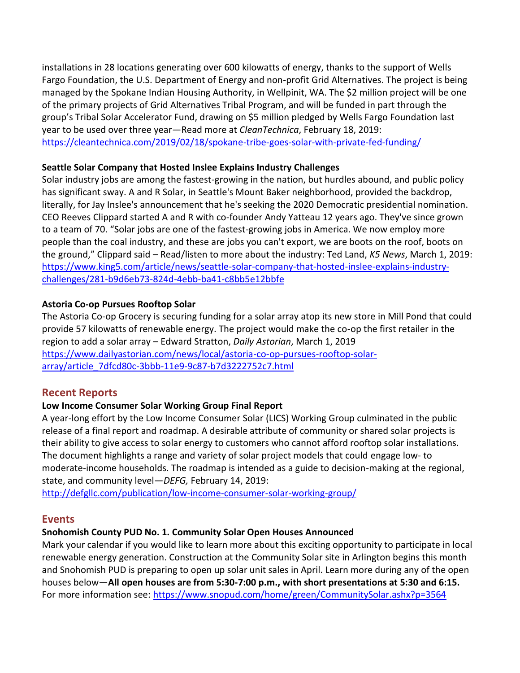installations in 28 locations generating over 600 kilowatts of energy, thanks to the support of Wells Fargo Foundation, the U.S. Department of Energy and non-profit Grid Alternatives. The project is being managed by the Spokane Indian Housing Authority, in Wellpinit, WA. The \$2 million project will be one of the primary projects of [Grid Alternatives Tribal Program,](https://tribalsolaraccelerator.org/) and will be funded in part through the group's Tribal Solar Accelerator Fund, drawing on \$5 million pledged by Wells Fargo Foundation last year to be used over three year—Read more at *CleanTechnica*, February 18, 2019: <https://cleantechnica.com/2019/02/18/spokane-tribe-goes-solar-with-private-fed-funding/>

#### **Seattle Solar Company that Hosted Inslee Explains Industry Challenges**

Solar industry jobs are among the fastest-growing in the nation, but hurdles abound, and public policy has significant sway. A and R Solar, in Seattle's Mount Baker neighborhood, provided the backdrop, literally, for Jay Inslee's announcement that he's seeking the 2020 Democratic presidential nomination. CEO Reeves Clippard started A and R with co-founder Andy Yatteau 12 years ago. They've since grown to a team of 70. "Solar jobs are one of the fastest-growing jobs in America. We now employ more people than the coal industry, and these are jobs you can't export, we are boots on the roof, boots on the ground," Clippard said – Read/listen to more about the industry: Ted Land, *K5 News*, March 1, 2019: [https://www.king5.com/article/news/seattle-solar-company-that-hosted-inslee-explains-industry](https://www.king5.com/article/news/seattle-solar-company-that-hosted-inslee-explains-industry-challenges/281-b9d6eb73-824d-4ebb-ba41-c8bb5e12bbfe)[challenges/281-b9d6eb73-824d-4ebb-ba41-c8bb5e12bbfe](https://www.king5.com/article/news/seattle-solar-company-that-hosted-inslee-explains-industry-challenges/281-b9d6eb73-824d-4ebb-ba41-c8bb5e12bbfe)

## **Astoria Co-op Pursues Rooftop Solar**

The Astoria Co-op Grocery is securing funding for a solar array atop its new store in Mill Pond that could provide 57 kilowatts of renewable energy. The project would make the co-op the first retailer in the region to add a solar array – Edward Stratton, *Daily Astorian*, March 1, 2019 [https://www.dailyastorian.com/news/local/astoria-co-op-pursues-rooftop-solar](https://www.dailyastorian.com/news/local/astoria-co-op-pursues-rooftop-solar-array/article_7dfcd80c-3bbb-11e9-9c87-b7d3222752c7.html)[array/article\\_7dfcd80c-3bbb-11e9-9c87-b7d3222752c7.html](https://www.dailyastorian.com/news/local/astoria-co-op-pursues-rooftop-solar-array/article_7dfcd80c-3bbb-11e9-9c87-b7d3222752c7.html)

# **Recent Reports**

# **Low Income Consumer Solar Working Group Final Report**

A year-long effort by the Low Income Consumer Solar (LICS) Working Group culminated in the public release of a final report and roadmap. A desirable attribute of community or shared solar projects is their ability to give access to solar energy to customers who cannot afford rooftop solar installations. The document highlights a range and variety of solar project models that could engage low- to moderate-income households. The roadmap is intended as a guide to decision-making at the regional, state, and community level—*DEFG,* February 14, 2019:

<http://defgllc.com/publication/low-income-consumer-solar-working-group/>

# **Events**

# **Snohomish County PUD No. 1. Community Solar Open Houses Announced**

Mark your calendar if you would like to learn more about this exciting opportunity to participate in local renewable energy generation. Construction at the Community Solar site in Arlington begins this month and Snohomish PUD is preparing to open up solar unit sales in April. Learn more during any of the open houses below—**All open houses are from 5:30-7:00 p.m., with short presentations at 5:30 and 6:15.** For more information see:<https://www.snopud.com/home/green/CommunitySolar.ashx?p=3564>